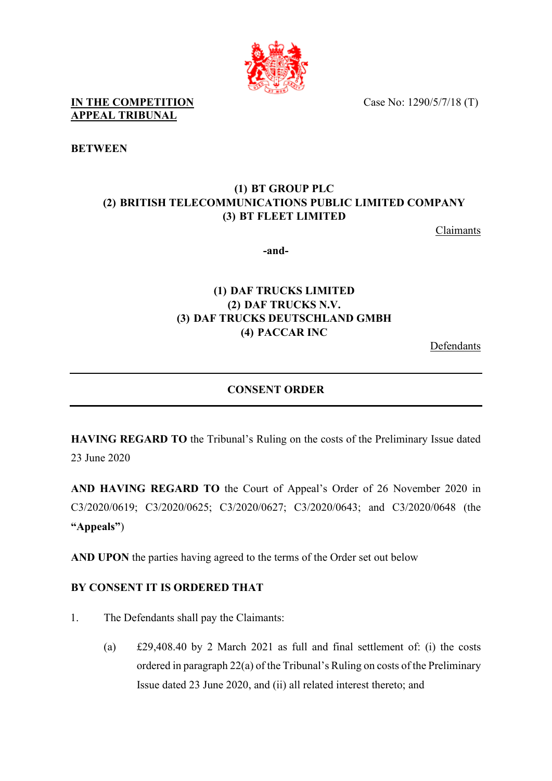

**IN THE COMPETITION** Case No: 1290/5/7/18 (T) **APPEAL TRIBUNAL** 

**BETWEEN**

## **(1) BT GROUP PLC (2) BRITISH TELECOMMUNICATIONS PUBLIC LIMITED COMPANY (3) BT FLEET LIMITED**

Claimants

**-and-**

## **(1) DAF TRUCKS LIMITED (2) DAF TRUCKS N.V. (3) DAF TRUCKS DEUTSCHLAND GMBH (4) PACCAR INC**

Defendants

## **CONSENT ORDER**

**HAVING REGARD TO** the Tribunal's Ruling on the costs of the Preliminary Issue dated 23 June 2020

**AND HAVING REGARD TO** the Court of Appeal's Order of 26 November 2020 in C3/2020/0619; C3/2020/0625; C3/2020/0627; C3/2020/0643; and C3/2020/0648 (the **"Appeals"**)

**AND UPON** the parties having agreed to the terms of the Order set out below

## **BY CONSENT IT IS ORDERED THAT**

- 1. The Defendants shall pay the Claimants:
	- (a) £29,408.40 by 2 March 2021 as full and final settlement of: (i) the costs ordered in paragraph 22(a) of the Tribunal's Ruling on costs of the Preliminary Issue dated 23 June 2020, and (ii) all related interest thereto; and